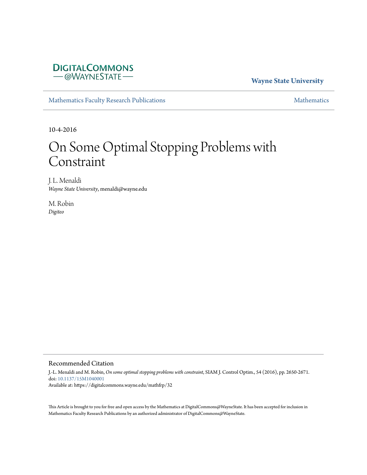# **DIGITALCOMMONS** -@WAYNESTATE-

## **Wayne State University**

[Mathematics Faculty Research Publications](https://digitalcommons.wayne.edu/mathfrp) **[Mathematics](https://digitalcommons.wayne.edu/math)** Mathematics

10-4-2016

# On Some Optimal Stopping Problems with Constraint

J. L. Menaldi *Wayne State University*, menaldi@wayne.edu

M. Robin *Digiteo*

## Recommended Citation

J.-L. Menaldi and M. Robin, *On some optimal stopping problems with constraint*, SIAM J. Control Optim., 54 (2016), pp. 2650-2671. doi: [10.1137/15M1040001](https://dx.doi.org/10.1137/15M1040001) Available at: https://digitalcommons.wayne.edu/mathfrp/32

This Article is brought to you for free and open access by the Mathematics at DigitalCommons@WayneState. It has been accepted for inclusion in Mathematics Faculty Research Publications by an authorized administrator of DigitalCommons@WayneState.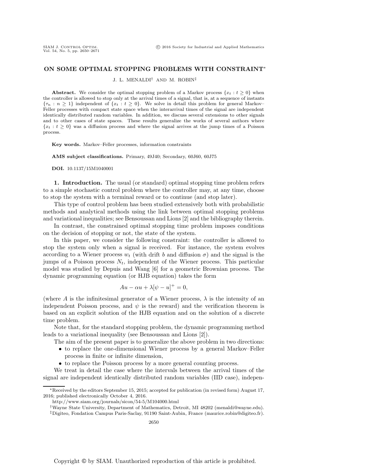### **ON SOME OPTIMAL STOPPING PROBLEMS WITH CONSTRAINT**<sup>∗</sup>

J. L. MENALDI† AND M. ROBIN‡

**Abstract.** We consider the optimal stopping problem of a Markov process  $\{x_t : t \geq 0\}$  when the controller is allowed to stop only at the arrival times of a signal, that is, at a sequence of instants  ${\tau_n : n \geq 1}$  independent of  ${x_t : t \geq 0}$ . We solve in detail this problem for general Markov– Feller processes with compact state space when the interarrival times of the signal are independent identically distributed random variables. In addition, we discuss several extensions to other signals and to other cases of state spaces. These results generalize the works of several authors where  ${x_t : t > 0}$  was a diffusion process and where the signal arrives at the jump times of a Poisson process.

**Key words.** Markov–Feller processes, information constraints

**AMS subject classifications.** Primary, 49J40; Secondary, 60J60, 60J75

**DOI.** 10.1137/15M1040001

**1. Introduction.** The usual (or standard) optimal stopping time problem refers to a simple stochastic control problem where the controller may, at any time, choose to stop the system with a terminal reward or to continue (and stop later).

This type of control problem has been studied extensively both with probabilistic methods and analytical methods using the link between optimal stopping problems and variational inequalities; see Bensoussan and Lions [\[2\]](#page-22-0) and the bibliography therein.

In contrast, the constrained optimal stopping time problem imposes conditions on the decision of stopping or not, the state of the system.

In this paper, we consider the following constraint: the controller is allowed to stop the system only when a signal is received. For instance, the system evolves according to a Wiener process  $w_t$  (with drift b and diffusion  $\sigma$ ) and the signal is the jumps of a Poisson process  $N_t$ , independent of the Wiener process. This particular model was studied by Depuis and Wang [\[6\]](#page-22-1) for a geometric Brownian process. The dynamic programming equation (or HJB equation) takes the form

$$
Au - \alpha u + \lambda [\psi - u]^+ = 0,
$$

(where A is the infinitesimal generator of a Wiener process,  $\lambda$  is the intensity of an independent Poisson process, and  $\psi$  is the reward) and the verification theorem is based on an explicit solution of the HJB equation and on the solution of a discrete time problem.

Note that, for the standard stopping problem, the dynamic programming method leads to a variational inequality (see Bensoussan and Lions [\[2\]](#page-22-0)).

- The aim of the present paper is to generalize the above problem in two directions:
- to replace the one-dimensional Wiener process by a general Markov–Feller process in finite or infinite dimension,
- to replace the Poisson process by a more general counting process.

We treat in detail the case where the intervals between the arrival times of the signal are independent identically distributed random variables (IID case), indepen-

<sup>∗</sup>Received by the editors September 15, 2015; accepted for publication (in revised form) August 17, 2016; published electronically October 4, 2016.

<http://www.siam.org/journals/sicon/54-5/M104000.html>

<sup>†</sup>Wayne State University, Department of Mathematics, Detroit, MI 48202 [\(menaldi@wayne.edu\)](mailto:menaldi@wayne.edu).

<sup>‡</sup>Digiteo, Fondation Campus Paris-Saclay, 91190 Saint-Aubin, France [\(maurice.robin@digiteo.fr\)](mailto:maurice.robin@digiteo.fr).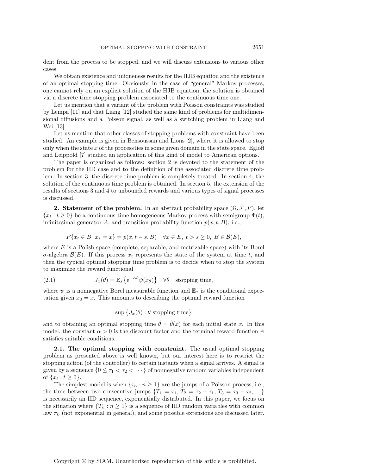dent from the process to be stopped, and we will discuss extensions to various other cases.

We obtain existence and uniqueness results for the HJB equation and the existence of an optimal stopping time. Obviously, in the case of "general" Markov processes, one cannot rely on an explicit solution of the HJB equation; the solution is obtained via a discrete time stopping problem associated to the continuous time one.

Let us mention that a variant of the problem with Poisson constraints was studied by Lempa [\[11\]](#page-22-2) and that Liang [\[12\]](#page-22-3) studied the same kind of problems for multidimensional diffusions and a Poisson signal, as well as a switching problem in Liang and Wei [\[13\]](#page-22-4).

Let us mention that other classes of stopping problems with constraint have been studied. An example is given in Bensoussan and Lions [\[2\]](#page-22-0), where it is allowed to stop only when the state  $x$  of the process lies in some given domain in the state space. Egloff and Leippold [\[7\]](#page-22-5) studied an application of this kind of model to American options.

The paper is organized as follows: section [2](#page-2-0) is devoted to the statement of the problem for the IID case and to the definition of the associated discrete time problem. In section [3,](#page-9-0) the discrete time problem is completely treated. In section [4,](#page-14-0) the solution of the continuous time problem is obtained. In section [5,](#page-17-0) the extension of the results of sections [3](#page-9-0) and [4](#page-14-0) to unbounded rewards and various types of signal processes is discussed.

<span id="page-2-0"></span>**2. Statement of the problem.** In an abstract probability space  $(\Omega, \mathcal{F}, P)$ , let  ${x_t : t \geq 0}$  be a continuous-time homogeneous Markov process with semigroup  $\Phi(t)$ , infinitesimal generator A, and transition probability function  $p(x, t, B)$ , i.e.,

$$
P\{x_t \in B \mid x_s = x\} = p(x, t - s, B) \quad \forall x \in E, \ t > s \ge 0, \ B \in \mathcal{B}(E),
$$

where  $E$  is a Polish space (complete, separable, and metrizable space) with its Borel σ-algebra  $\mathcal{B}(E)$ . If this process  $x_t$  represents the state of the system at time t, and then the typical optimal stopping time problem is to decide when to stop the system to maximize the reward functional

(2.1) 
$$
J_x(\theta) = \mathbb{E}_x \{ e^{-\alpha \theta} \psi(x_\theta) \} \quad \forall \theta \quad \text{stopping time},
$$

where  $\psi$  is a nonnegative Borel measurable function and  $\mathbb{E}_x$  is the conditional expectation given  $x_0 = x$ . This amounts to describing the optimal reward function

<span id="page-2-1"></span>
$$
\sup \big\{J_x(\theta): \theta \text{ stopping time}\big\}
$$

and to obtaining an optimal stopping time  $\hat{\theta} = \hat{\theta}(x)$  for each initial state x. In this model, the constant  $\alpha > 0$  is the discount factor and the terminal reward function  $\psi$ satisfies suitable conditions.

**2.1. The optimal stopping with constraint.** The usual optimal stopping problem as presented above is well known, but our interest here is to restrict the stopping action (of the controller) to certain instants when a signal arrives. A signal is given by a sequence  $\{0 \leq \tau_1 < \tau_2 < \cdots \}$  of nonnegative random variables independent of  $\{x_t : t \geq 0\}.$ 

The simplest model is when  $\{\tau_n : n \geq 1\}$  are the jumps of a Poisson process, i.e., the time between two consecutive jumps  $\{T_1 = \tau_1, T_2 = \tau_2 - \tau_1, T_3 = \tau_3 - \tau_2, \ldots\}$ is necessarily an IID sequence, exponentially distributed. In this paper, we focus on the situation where  $\{T_n : n \geq 1\}$  is a sequence of IID random variables with common law  $\pi_0$  (not exponential in general), and some possible extensions are discussed later.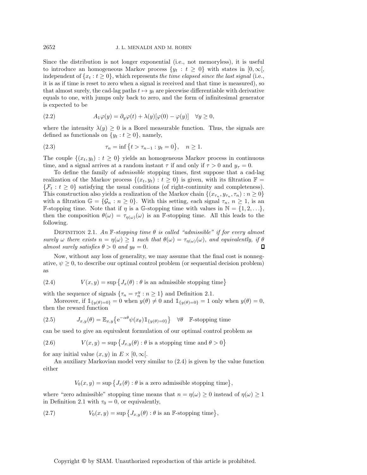Since the distribution is not longer exponential (i.e., not memoryless), it is useful to introduce an homogeneous Markov process  $\{y_t : t \geq 0\}$  with states in  $[0, \infty[,$ independent of  $\{x_t : t \geq 0\}$ , which represents *the time elapsed since the last signal* (i.e., it is as if time is reset to zero when a signal is received and that time is measured), so that almost surely, the cad-lag paths  $t \mapsto y_t$  are piecewise differentiable with derivative equals to one, with jumps only back to zero, and the form of infinitesimal generator is expected to be

<span id="page-3-4"></span>(2.2) 
$$
A_1 \varphi(y) = \partial_y \varphi(t) + \lambda(y)[\varphi(0) - \varphi(y)] \quad \forall y \ge 0,
$$

where the intensity  $\lambda(y) \geq 0$  is a Borel measurable function. Thus, the signals are defined as functionals on  $\{y_t : t \geq 0\}$ , namely,

<span id="page-3-2"></span>(2.3) 
$$
\tau_n = \inf \{ t > \tau_{n-1} : y_t = 0 \}, \quad n \ge 1.
$$

The couple  $\{(x_t, y_t): t \geq 0\}$  yields an homogeneous Markov process in continuous time, and a signal arrives at a random instant  $\tau$  if and only if  $\tau > 0$  and  $y_{\tau} = 0$ .

To define the family of *admissible* stopping times, first suppose that a cad-lag realization of the Markov process  $\{(x_t, y_t): t \geq 0\}$  is given, with its filtration  $\mathbb{F} =$  $\{\mathcal{F}_t : t \geq 0\}$  satisfying the usual conditions (of right-continuity and completeness). This construction also yields a realization of the Markov chain  $\{(x_{\tau_n}, y_{\tau_n}, \tau_n) : n \geq 0\}$ with a filtration  $\mathbb{G} = {\mathcal{G}_n : n \geq 0}$ . With this setting, each signal  $\tau_n, n \geq 1$ , is an **F-stopping time.** Note that if  $\eta$  is a G-stopping time with values in  $\mathbb{N} = \{1, 2, ...\}$ , then the composition  $\theta(\omega) = \tau_{\eta(\omega)}(\omega)$  is an F-stopping time. All this leads to the following.

<span id="page-3-0"></span>DEFINITION 2.1. An  $\mathbb{F}$ -stopping time  $\theta$  is called "admissible" if for every almost *surely*  $\omega$  *there exists*  $n = \eta(\omega) \ge 1$  *such that*  $\theta(\omega) = \tau_{\eta(\omega)}(\omega)$ *, and equivalently, if*  $\theta$  *almost surely satisfies*  $\theta > 0$  *and*  $y_{\theta} = 0$ *. almost surely satisfies*  $\theta > 0$  *and*  $y_{\theta} = 0$ *.* 

Now, without any loss of generality, we may assume that the final cost is nonnegative,  $\psi \geq 0$ , to describe our optimal control problem (or sequential decision problem) as

<span id="page-3-1"></span>(2.4) 
$$
V(x, y) = \sup \{ J_x(\theta) : \theta \text{ is an admissible stopping time} \}
$$

with the sequence of signals  $\{\tau_n = \tau_n^y : n \ge 1\}$  and Definition [2.1.](#page-3-0)<br>Moreover if  $\mathbb{I}_{\{\zeta_n(x), n\ge 1\}}$  when  $u(\theta) \neq 0$  and  $\mathbb{I}_{\{\zeta_n(x), n\ge 1\}}$ 

Moreover, if  $\mathbb{1}_{\{y(\theta)=0\}} = 0$  when  $y(\theta) \neq 0$  and  $\mathbb{1}_{\{y(\theta)=0\}} = 1$  only when  $y(\theta) = 0$ , then the reward function

(2.5) 
$$
J_{x,y}(\theta) = \mathbb{E}_{x,y}\left\{e^{-\alpha\theta}\psi(x_{\theta})\mathbb{1}_{\{y(\theta)=0\}}\right\} \quad \forall \theta \quad \mathbb{F}\text{-stopping time}
$$

can be used to give an equivalent formulation of our optimal control problem as

<span id="page-3-5"></span>(2.6) 
$$
V(x,y) = \sup \{ J_{x,y}(\theta) : \theta \text{ is a stopping time and } \theta > 0 \}
$$

for any initial value  $(x, y)$  in  $E \times [0, \infty)$ .

An auxiliary Markovian model very similar to [\(2.4\)](#page-3-1) is given by the value function either

<span id="page-3-3"></span>
$$
V_0(x, y) = \sup \{ J_x(\theta) : \theta \text{ is a zero admissible stopping time} \},
$$

where "zero admissible" stopping time means that  $n = \eta(\omega) \ge 0$  instead of  $\eta(\omega) \ge 1$ in Definition [2.1](#page-3-0) with  $\tau_0 = 0$ , or equivalently,

(2.7) 
$$
V_0(x,y) = \sup \{ J_{x,y}(\theta) : \theta \text{ is an } \mathbb{F}\text{-stopping time} \},
$$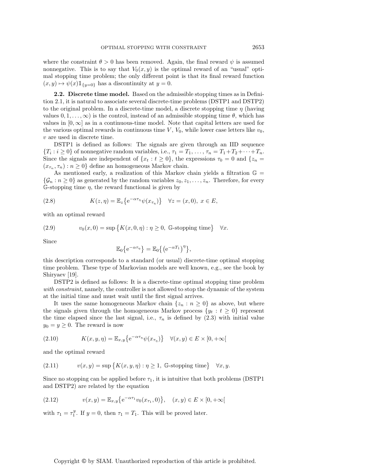where the constraint  $\theta > 0$  has been removed. Again, the final reward  $\psi$  is assumed nonnegative. This is to say that  $V_0(x, y)$  is the optimal reward of an "usual" optimal stopping time problem; the only different point is that its final reward function  $(x, y) \mapsto \psi(x) 1\!\!1_{\{y=0\}}$  has a discontinuity at  $y = 0$ .

<span id="page-4-5"></span>**2.2. Discrete time model.** Based on the admissible stopping times as in Definition [2.1,](#page-3-0) it is natural to associate several discrete-time problems (DSTP1 and DSTP2) to the original problem. In a discrete-time model, a discrete stopping time  $\eta$  (having values  $0, 1, \ldots, \infty$ ) is the control, instead of an admissible stopping time  $\theta$ , which has values in  $[0, \infty]$  as in a continuous-time model. Note that capital letters are used for the various optimal rewards in continuous time  $V, V_0$ , while lower case letters like  $v_0$ , v are used in discrete time.

DSTP1 is defined as follows: The signals are given through an IID sequence  ${T_i : i \geq 0}$  of nonnegative random variables, i.e.,  $\tau_1 = T_1, \ldots, \tau_n = T_1 + T_2 + \cdots + T_n$ . Since the signals are independent of  $\{x_t : t \geq 0\}$ , the expressions  $\tau_0 = 0$  and  $\{z_n =$  $(x_{\tau_n}, \tau_n) : n \geq 0$  define an homogeneous Markov chain.

As mentioned early, a realization of this Markov chain yields a filtration  $\mathbb{G} =$  $\{\mathcal{G}_n : n \geq 0\}$  as generated by the random variables  $z_0, z_1, \ldots, z_n$ . Therefore, for every G-stopping time  $\eta$ , the reward functional is given by

<span id="page-4-3"></span>(2.8) 
$$
K(z, \eta) = \mathbb{E}_z \left\{ e^{-\alpha \tau_{\eta}} \psi(x_{\tau_{\eta}}) \right\} \quad \forall z = (x, 0), \ x \in E,
$$

with an optimal reward

<span id="page-4-0"></span>(2.9) 
$$
v_0(x,0) = \sup \{ K(x,0,\eta) : \eta \ge 0, \text{ G-stopping time} \} \quad \forall x.
$$

Since

$$
\mathbb{E}_0\big\{e^{-\alpha\tau_\eta}\big\}=\mathbb{E}_0\big\{\big(e^{-\alpha T_1}\big)^\eta\big\},\,
$$

this description corresponds to a standard (or usual) discrete-time optimal stopping time problem. These type of Markovian models are well known, e.g., see the book by Shiryaev [\[19\]](#page-22-6).

DSTP2 is defined as follows: It is a discrete-time optimal stopping time problem *with constraint*, namely, the controller is not allowed to stop the dynamic of the system at the initial time and must wait until the first signal arrives.

It uses the same homogeneous Markov chain  $\{z_n : n \geq 0\}$  as above, but where the signals given through the homogeneous Markov process  $\{y_t : t \geq 0\}$  represent the time elapsed since the last signal, i.e.,  $\tau_n$  is defined by [\(2.3\)](#page-3-2) with initial value  $y_0 = y \geq 0$ . The reward is now

<span id="page-4-4"></span>(2.10) 
$$
K(x, y, \eta) = \mathbb{E}_{x, y} \{ e^{-\alpha \tau_{\eta}} \psi(x_{\tau_{\eta}}) \} \quad \forall (x, y) \in E \times [0, +\infty[
$$

and the optimal reward

<span id="page-4-1"></span>(2.11) 
$$
v(x,y) = \sup \{ K(x,y,\eta) : \eta \ge 1, \text{ G-stopping time} \} \quad \forall x, y.
$$

Since no stopping can be applied before  $\tau_1$ , it is intuitive that both problems (DSTP1 and DSTP2) are related by the equation

<span id="page-4-2"></span>(2.12) 
$$
v(x,y) = \mathbb{E}_{x,y}\big\{e^{-\alpha \tau_1}v_0(x_{\tau_1},0)\big\}, \quad (x,y) \in E \times [0,+\infty[
$$

with  $\tau_1 = \tau_1^y$ . If  $y = 0$ , then  $\tau_1 = T_1$ . This will be proved later.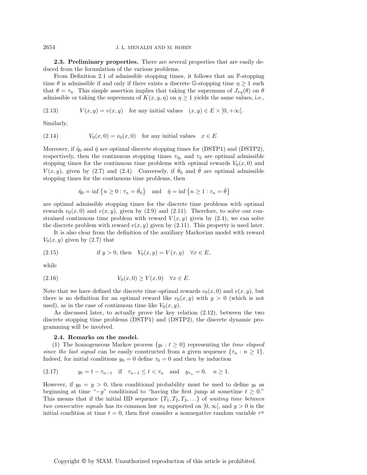**2.3. Preliminary properties.** There are several properties that are easily deduced from the formulation of the various problems.

From Definition [2.1](#page-3-0) of admissible stopping times, it follows that an F-stopping time  $\theta$  is admissible if and only if there exists a discrete G-stopping time  $\eta \geq 1$  such that  $\theta = \tau_{\eta}$ . This simple assertion implies that taking the supremum of  $J_{xy}(\theta)$  on  $\theta$ admissible or taking the supremum of  $K(x, y, \eta)$  on  $\eta \geq 1$  yields the same values, i.e.,

(2.13)  $V(x, y) = v(x, y)$  for any initial values  $(x, y) \in E \times [0, +\infty)$ .

Similarly,

(2.14) 
$$
V_0(x,0) = v_0(x,0) \text{ for any initial values } x \in E.
$$

Moreover, if  $\hat{\eta}_0$  and  $\hat{\eta}$  are optimal discrete stopping times for (DSTP1) and (DSTP2), respectively, then the continuous stopping times  $\tau_{\hat{\eta}_0}$  and  $\tau_{\hat{\eta}}$  are optimal admissible stopping times for the continuous time problems with optimal rewards  $V_0(x, 0)$  and  $V(x, y)$ , given by [\(2.7\)](#page-3-3) and [\(2.4\)](#page-3-1). Conversely, if  $\hat{\theta}_0$  and  $\hat{\theta}$  are optimal admissible stopping times for the continuous time problems, then

$$
\hat{\eta}_0 = \inf \left\{ n \ge 0 : \tau_n = \hat{\theta}_0 \right\} \quad \text{and} \quad \hat{\eta} = \inf \left\{ n \ge 1 : \tau_n = \hat{\theta} \right\}
$$

are optimal admissible stopping times for the discrete time problems with optimal rewards  $v_0(x, 0)$  and  $v(x, y)$ , given by [\(2.9\)](#page-4-0) and [\(2.11\)](#page-4-1). Therefore, to solve our constrained continuous time problem with reward  $V(x, y)$  given by [\(2.4\)](#page-3-1), we can solve the discrete problem with reward  $v(x, y)$  given by [\(2.11\)](#page-4-1). This property is used later.

It is also clear from the definition of the auxiliary Markovian model with reward  $V_0(x, y)$  given by [\(2.7\)](#page-3-3) that

(2.15) if 
$$
y > 0
$$
, then  $V_0(x, y) = V(x, y) \quad \forall x \in E$ ,

while

$$
(2.16) \t V_0(x,0) \ge V(x,0) \quad \forall x \in E.
$$

Note that we have defined the discrete time optimal rewards  $v_0(x, 0)$  and  $v(x, y)$ , but there is no definition for an optimal reward like  $v_0(x, y)$  with  $y > 0$  (which is not used), as in the case of continuous time like  $V_0(x, y)$ .

As discussed later, to actually prove the key relation [\(2.12\)](#page-4-2), between the two discrete stopping time problems (DSTP1) and (DSTP2), the discrete dynamic programming will be involved.

#### <span id="page-5-1"></span>**2.4. Remarks on the model.**

(1) The homogeneous Markov process  $\{y_t : t \geq 0\}$  representing the *time elapsed since the last signal* can be easily constructed from a given sequence  $\{\tau_n : n \geq 1\}$ . Indeed, for initial conditions  $y_0 = 0$  define  $\tau_0 = 0$  and then by induction

<span id="page-5-0"></span>(2.17) 
$$
y_t = t - \tau_{n-1}
$$
 if  $\tau_{n-1} \le t < \tau_n$  and  $y_{\tau_n} = 0$ ,  $n \ge 1$ .

However, if  $y_0 = y > 0$ , then conditional probability must be used to define  $y_t$  as beginning at time " $-y$ " conditional to "having the first jump at sometime  $t \geq 0$ ." This means that if the initial IID sequence  $\{T_1, T_2, T_3, \ldots\}$  of *waiting time between two consecutive signals* has its common law  $\pi_0$  supported on  $[0, \infty)$ , and  $y > 0$  is the initial condition at time  $t = 0$ , then first consider a nonnegative random variable  $\tau^y$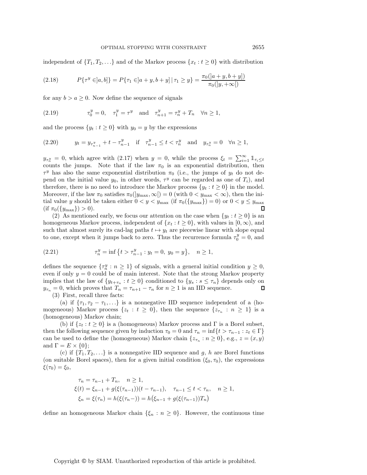independent of  $\{T_1, T_2, \ldots\}$  and of the Markov process  $\{x_t : t \geq 0\}$  with distribution

(2.18) 
$$
P\{\tau^y \in ]a, b]\} = P\{\tau_1 \in ]a+y, b+y] | \tau_1 \ge y\} = \frac{\pi_0([a+y, b+y])}{\pi_0([y, +\infty[)}
$$

for any  $b > a \geq 0$ . Now define the sequence of signals

(2.19) 
$$
\tau_0^y = 0
$$
,  $\tau_1^y = \tau^y$  and  $\tau_{n+1}^y = \tau_n^y + T_n \quad \forall n \ge 1$ ,

and the process  $\{y_t : t \geq 0\}$  with  $y_0 = y$  by the expressions

<span id="page-6-0"></span>(2.20) 
$$
y_t = y_{\tau_{n-1}^y} + t - \tau_{n-1}^y
$$
 if  $\tau_{n-1}^y \le t < \tau_n^y$  and  $y_{\tau_n^y} = 0 \quad \forall n \ge 1$ ,

 $y_{\tau_n^y} = 0$ , which agree with [\(2.17\)](#page-5-0) when  $y = 0$ , while the process  $\xi_t = \sum_{i=1}^{\infty} \mathbb{1}_{\tau_i \leq t}$ counts the jumps. Note that if the law  $\pi_0$  is an exponential distribution, then  $\tau^y$  has also the same exponential distribution  $\pi_0$  (i.e., the jumps of  $y_t$  do not depend on the initial value  $y_0$ , in other words,  $\tau^y$  can be regarded as one of  $T_i$ ), and therefore, there is no need to introduce the Markov process  $\{y_t : t \geq 0\}$  in the model. Moreover, if the law  $\pi_0$  satisfies  $\pi_0(|y_{\text{max}}, \infty|) = 0$  (with  $0 < y_{\text{max}} < \infty$ ), then the initial value y should be taken either  $0 < y < y_{\text{max}}$  (if  $\pi_0({y_{\text{max}}}) = 0$ ) or  $0 < y \le y_{\text{max}}$ <br>(if  $\pi_0({y_{\text{max}}}) > 0$ )  $(\text{if } \pi_0(\{y_{\text{max}}\}) > 0).$ 

(2) As mentioned early, we focus our attention on the case when  $\{y_t : t \geq 0\}$  is an homogeneous Markov process, independent of  $\{x_t : t \geq 0\}$ , with values in  $[0, \infty)$ , and such that almost surely its cad-lag paths  $t \mapsto y_t$  are piecewise linear with slope equal to one, except when it jumps back to zero. Thus the recurrence formula  $\tau_0^y = 0$ , and

(2.21) 
$$
\tau_n^y = \inf \left\{ t > \tau_{n-1}^y : y_t = 0, \ y_0 = y \right\}, \quad n \ge 1,
$$

defines the sequence  $\{\tau_n^y : n \ge 1\}$  of signals, with a general initial condition  $y \ge 0$ , even if only  $y = 0$  could be of main interest. Note that the strong Markov property even if only  $y = 0$  could be of main interest. Note that the strong Markov property implies that the law of  $\{y_{t+\tau_n} : t \geq 0\}$  conditioned to  $\{y_s : s \leq \tau_n\}$  depends only on  $y_t = 0$  which proves that  $T = \tau_{t+1} - \tau$  for  $n > 1$  is an IID sequence  $y_{\tau_n} = 0$ , which proves that  $T_n = \tau_{n+1} - \tau_n$  for  $n \ge 1$  is an IID sequence.<br>(3) First recall three factor (3) First, recall three facts:

(a) if  $\{\tau_1, \tau_2 - \tau_1, ...\}$  is a nonnegative IID sequence independent of a (homogeneous) Markov process  $\{z_t : t \geq 0\}$ , then the sequence  $\{z_{\tau_n} : n \geq 1\}$  is a (homogeneous) Markov chain;

(b) if  $\{z_t : t \geq 0\}$  is a (homogeneous) Markov process and  $\Gamma$  is a Borel subset, then the following sequence given by induction  $\tau_0 = 0$  and  $\tau_n = \inf\{t > \tau_{n-1} : z_t \in \Gamma\}$ can be used to define the (homogeneous) Markov chain  $\{z_{\tau_n} : n \geq 0\}$ , e.g.,  $z = (x, y)$ and  $\Gamma = E \times \{0\};$ 

(c) if  ${T_1, T_2,...}$  is a nonnegative IID sequence and g, h are Borel functions (on suitable Borel spaces), then for a given initial condition  $(\xi_0, \tau_0)$ , the expressions  $\xi(\tau_0) = \xi_0,$ 

$$
\tau_n = \tau_{n-1} + T_n, \quad n \ge 1,
$$
  
\n
$$
\xi(t) = \xi_{n-1} + g(\xi(\tau_{n-1}))(t - \tau_{n-1}), \quad \tau_{n-1} \le t < \tau_n, \quad n \ge 1,
$$
  
\n
$$
\xi_n = \xi(\tau_n) = h(\xi(\tau_n -)) = h(\xi_{n-1} + g(\xi(\tau_{n-1}))T_n)
$$

define an homogeneous Markov chain  $\{\xi_n : n \geq 0\}$ . However, the continuous time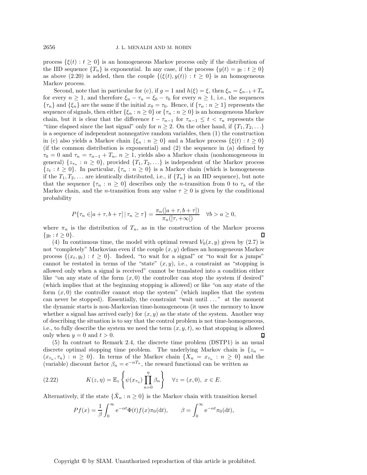process  $\{\xi(t): t \geq 0\}$  is an homogeneous Markov process only if the distribution of the IID sequence  $\{T_n\}$  is exponential. In any case, if the process  $\{y(t) = y_t : t \geq 0\}$ as above [\(2.20\)](#page-6-0) is added, then the couple  $\{(\xi(t), y(t)) : t \geq 0\}$  is an homogeneous Markov process.

Second, note that in particular for (c), if  $g = 1$  and  $h(\xi) = \xi$ , then  $\xi_n = \xi_{n-1} + T_n$ for every  $n \geq 1$ , and therefore  $\xi_n - \tau_n = \xi_0 - \tau_0$  for every  $n \geq 1$ , i.e., the sequences  ${\lbrace \tau_n \rbrace}$  and  ${\lbrace \xi_n \rbrace}$  are the same if the initial  $x_0 = \tau_0$ . Hence, if  ${\lbrace \tau_n : n \geq 1 \rbrace}$  represents the sequence of signals, then either  $\{\xi_n : n \geq 0\}$  or  $\{\tau_n : n \geq 0\}$  is an homogeneous Markov chain, but it is clear that the difference  $t - \tau_{n-1}$  for  $\tau_{n-1} \leq t < \tau_n$  represents the "time elapsed since the last signal" only for  $n \geq 2$ . On the other hand, if  $\{T_1, T_2, \ldots\}$ is a sequence of independent nonnegative random variables, then (1) the construction in (c) also yields a Markov chain  $\{\xi_n : n \geq 0\}$  and a Markov process  $\{\xi(t) : t \geq 0\}$ (if the common distribution is exponential) and (2) the sequence in (a) defined by  $\tau_0 = 0$  and  $\tau_n = \tau_{n-1} + T_n$ ,  $n \geq 1$ , yields also a Markov chain (nonhomogeneous in general)  $\{z_{\tau_n}: n \geq 0\}$ , provided  $\{T_1, T_2, \ldots\}$  is independent of the Markov process  $\{z_t : t \geq 0\}$ . In particular,  $\{\tau_n : n \geq 0\}$  is a Markov chain (which is homogeneous if the  $T_1, T_2,...$  are identically distributed, i.e., if  $\{T_n\}$  is an IID sequence), but note that the sequence  $\{\tau_n : n \geq 0\}$  describes only the *n*-transition from 0 to  $\tau_n$  of the Markov chain, and the *n*-transition from any value  $\tau \geq 0$  is given by the conditional probability

$$
P\{\tau_n \in ]a+\tau, b+\tau] | \tau_n \ge \tau\} = \frac{\pi_n(|a+\tau, b+\tau|)}{\pi_n(|\tau, +\infty|)} \quad \forall b > a \ge 0,
$$

where  $\pi_n$  is the distribution of  $T_n$ , as in the construction of the Markov process  $\{u_t : t \geq 0\}$  $\{y_t : t \geq 0\}.$ 

(4) In continuous time, the model with optimal reward  $V_0(x, y)$  given by [\(2.7\)](#page-3-3) is not "completely" Markovian even if the couple  $(x, y)$  defines an homogeneous Markov process  $\{(x_t, y_t): t \geq 0\}$ . Indeed, "to wait for a signal" or "to wait for a jumps" cannot be restated in terms of the "state"  $(x, y)$ , i.e., a constraint as "stopping is allowed only when a signal is received" cannot be translated into a condition either like "on any state of the form  $(x, 0)$  the controller can stop the system if desired" (which implies that at the beginning stopping is allowed) or like "on any state of the form  $(x, 0)$  the controller cannot stop the system" (which implies that the system can never be stopped). Essentially, the constraint "wait until . . . " at the moment the dynamic starts is non-Markovian time-homogeneous (it uses the memory to know whether a signal has arrived early) for  $(x, y)$  as the state of the system. Another way of describing the situation is to say that the control problem is not time-homogeneous, i.e., to fully describe the system we need the term  $(x, y, t)$ , so that stopping is allowed<br>only when  $y = 0$  and  $t > 0$ only when  $y = 0$  and  $t > 0$ .

(5) In contrast to Remark [2.4,](#page-5-1) the discrete time problem (DSTP1) is an usual discrete optimal stopping time problem. The underlying Markov chain is  $\{z_n =$  $(x_{\tau_n}, \tau_n) : n \geq 0$ . In terms of the Markov chain  $\{X_n = x_{\tau_n} : n \geq 0\}$  and the (variable) discount factor  $\beta = e^{-\alpha T_n}$  the reward functional can be written as (variable) discount factor  $\beta_n = e^{-\alpha T_n}$ , the reward functional can be written as

(2.22) 
$$
K(z,\eta) = \mathbb{E}_z \left\{ \psi(x_{\tau_{\eta}}) \prod_{n=0}^{\eta} \beta_n \right\} \quad \forall z = (x,0), \ x \in E.
$$

Alternatively, if the state  $\{\tilde{X}_n : n \geq 0\}$  is the Markov chain with transition kernel

$$
Pf(x) = \frac{1}{\beta} \int_0^\infty e^{-\alpha t} \Phi(t) f(x) \pi_0(\mathrm{d}t), \qquad \beta = \int_0^\infty e^{-\alpha t} \pi_0(\mathrm{d}t),
$$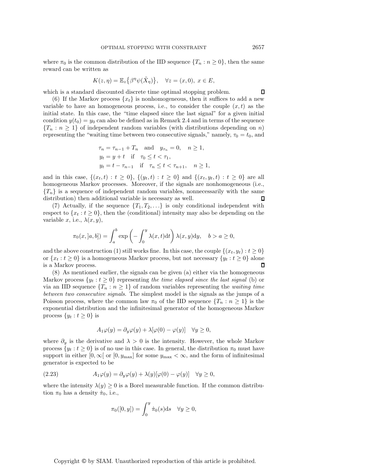where  $\pi_0$  is the common distribution of the IID sequence  $\{T_n : n \geq 0\}$ , then the same reward can be written as

$$
K(z, \eta) = \mathbb{E}_z \big\{ \beta^{\eta} \psi(\tilde{X}_{\eta}) \big\}, \quad \forall z = (x, 0), \ x \in E,
$$

which is a standard discounted discrete time optimal stopping problem.

(6) If the Markov process  $\{x_t\}$  is nonhomogeneous, then it suffices to add a new variable to have an homogeneous process, i.e., to consider the couple  $(x, t)$  as the initial state. In this case, the "time elapsed since the last signal" for a given initial condition  $y(t_0) = y_0$  can also be defined as in Remark [2.4](#page-5-1) and in terms of the sequence  ${T_n : n \geq 1}$  of independent random variables (with distributions depending on n) representing the "waiting time between two consecutive signals," namely,  $\tau_0 = t_0$ , and

$$
\tau_n = \tau_{n-1} + T_n
$$
 and  $y_{\tau_n} = 0$ ,  $n \ge 1$ ,  
\n $y_t = y + t$  if  $\tau_0 \le t < \tau_1$ ,  
\n $y_t = t - \tau_{n-1}$  if  $\tau_n \le t < \tau_{n+1}$ ,  $n \ge 1$ ,

and in this case,  $\{(x_t, t) : t \geq 0\}$ ,  $\{(y_t, t) : t \geq 0\}$  and  $\{(x_t, y_t, t) : t \geq 0\}$  are all homogeneous Markov processes. Moreover, if the signals are nonhomogeneous (i.e.,  ${T_n}$  is a sequence of independent random variables, nonnecessarily with the same distribution) then additional variable is necessary as well. distribution) then additional variable is necessary as well.

(7) Actually, if the sequence  $\{T_1, T_2, \ldots\}$  is only conditional independent with respect to  ${x_t : t \geq 0}$ , then the (conditional) intensity may also be depending on the variable x, i.e.,  $\lambda(x, y)$ ,

$$
\pi_0(x,[a,b]) = \int_a^b \exp\left(-\int_0^y \lambda(x,t)dt\right) \lambda(x,y)dy, \quad b > a \ge 0,
$$

and the above construction (1) still works fine. In this case, the couple  $\{(x_t, y_t): t \geq 0\}$ or  $\{x_t : t \ge 0\}$  is a homogeneous Markov process, but not necessary  $\{y_t : t \ge 0\}$  alone<br>is a Markov process. is a Markov process.

(8) As mentioned earlier, the signals can be given (a) either via the homogeneous Markov process  $\{y_t : t \geq 0\}$  representing the time elapsed since the last signal (b) or via an IID sequence  $\{T_n : n \geq 1\}$  of random variables representing the *waiting time between two consecutive signals*. The simplest model is the signals as the jumps of a Poisson process, where the common law  $\pi_0$  of the IID sequence  $\{T_n : n \geq 1\}$  is the exponential distribution and the infinitesimal generator of the homogeneous Markov process  $\{y_t : t \geq 0\}$  is

$$
A_1\varphi(y) = \partial_y\varphi(y) + \lambda[\varphi(0) - \varphi(y)] \quad \forall y \ge 0,
$$

where  $\partial_y$  is the derivative and  $\lambda > 0$  is the intensity. However, the whole Markov process  $\{y_t : t \geq 0\}$  is of no use in this case. In general, the distribution  $\pi_0$  must have support in either  $[0, \infty)$  or  $[0, y_{\text{max}}]$  for some  $y_{\text{max}} < \infty$ , and the form of infinitesimal generator is expected to be

(2.23) 
$$
A_1 \varphi(y) = \partial_y \varphi(y) + \lambda(y)[\varphi(0) - \varphi(y)] \quad \forall y \ge 0,
$$

where the intensity  $\lambda(y) \geq 0$  is a Borel measurable function. If the common distribution  $\pi_0$  has a density  $\dot{\pi}_0$ , i.e.,

$$
\pi_0([0, y]) = \int_0^y \dot{\pi}_0(s) \mathrm{d}s \quad \forall y \ge 0,
$$

Copyright © by SIAM. Unauthorized reproduction of this article is prohibited.

 $\Box$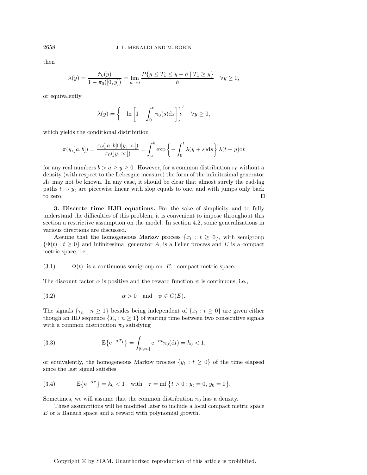then

$$
\lambda(y) = \frac{\dot{\pi}_0(y)}{1 - \pi_0([0, y])} = \lim_{h \to 0} \frac{P\{y \le T_1 \le y + h \mid T_1 \ge y\}}{h} \quad \forall y \ge 0,
$$

or equivalently

$$
\lambda(y) = \left\{-\ln\left[1 - \int_0^t \dot{\pi}_0(s) \mathrm{d}s\right]\right\}' \quad \forall y \ge 0,
$$

which yields the conditional distribution

$$
\pi(y, [a, b]) = \frac{\pi_0([a, b] \cap [y, \infty[)}{\pi_0([y, \infty[)} = \int_a^b \exp\left\{-\int_0^t \lambda(y+s)ds\right\} \lambda(t+y)dt
$$

for any real numbers  $b > a \ge y \ge 0$ . However, for a common distribution  $\pi_0$  without a density (with respect to the Lebesgue measure) the form of the infinitesimal generator  $A_1$  may not be known. In any case, it should be clear that almost surely the cad-lag paths  $t \mapsto y_t$  are piecewise linear with slop equals to one, and with jumps only back to zero. to zero.

<span id="page-9-0"></span>**3. Discrete time HJB equations.** For the sake of simplicity and to fully understand the difficulties of this problem, it is convenient to impose throughout this section a restrictive assumption on the model. In section [4.2,](#page-16-0) some generalizations in various directions are discussed.

Assume that the homogeneous Markov process  $\{x_t : t \geq 0\}$ , with semigroup  $\{\Phi(t): t \geq 0\}$  and infinitesimal generator A, is a Feller process and E is a compact metric space, i.e.,

<span id="page-9-1"></span> $(3.1)$   $\Phi(t)$  is a continuous semigroup on E, compact metric space.

The discount factor  $\alpha$  is positive and the reward function  $\psi$  is continuous, i.e.,

<span id="page-9-2"></span>(3.2) 
$$
\alpha > 0
$$
 and  $\psi \in C(E)$ .

The signals  $\{\tau_n : n \geq 1\}$  besides being independent of  $\{x_t : t \geq 0\}$  are given either though an IID sequence  $\{T_n : n \geq 1\}$  of waiting time between two consecutive signals with a common distribution  $\pi_0$  satisfying

(3.3) 
$$
\mathbb{E}\left\{e^{-\alpha T_1}\right\} = \int_{[0,\infty[} e^{-\alpha t} \pi_0(dt) = k_0 < 1,
$$

or equivalently, the homogeneous Markov process  $\{y_t : t \geq 0\}$  of the time elapsed since the last signal satisfies

<span id="page-9-3"></span>(3.4) 
$$
\mathbb{E}\left\{e^{-\alpha \tau}\right\} = k_0 < 1 \quad \text{with} \quad \tau = \inf\left\{t > 0 : y_t = 0, \ y_0 = 0\right\}.
$$

Sometimes, we will assume that the common distribution  $\pi_0$  has a density.

These assumptions will be modified later to include a local compact metric space E or a Banach space and a reward with polynomial growth.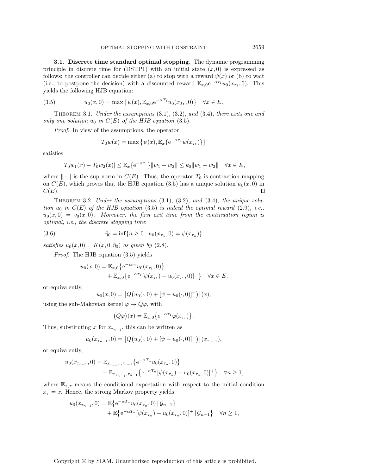**3.1. Discrete time standard optimal stopping.** The dynamic programming principle in discrete time for  $(DSTP1)$  with an initial state  $(x, 0)$  is expressed as follows: the controller can decide either (a) to stop with a reward  $\psi(x)$  or (b) to wait (i.e., to postpone the decision) with a discounted reward  $\mathbb{E}_{x,0}e^{-\alpha \tau_1}u_0(x_{\tau_1}, 0)$ . This yields the following HJB equation:

<span id="page-10-0"></span>(3.5) 
$$
u_0(x,0) = \max \{ \psi(x), \mathbb{E}_{x,0} e^{-\alpha T_1} u_0(x_{T_1},0) \} \quad \forall x \in E.
$$

<span id="page-10-3"></span>Theorem 3.1. *Under the assumptions* [\(3.1\)](#page-9-1)*,* [\(3.2\)](#page-9-2)*, and* [\(3.4\)](#page-9-3)*, there exits one and only one solution*  $u_0$  *in*  $C(E)$  *of the HJB equation* [\(3.5\)](#page-10-0)*.* 

*Proof.* In view of the assumptions, the operator

$$
T_0w(x) = \max \left\{ \psi(x), \mathbb{E}_x \{ e^{-\alpha \tau_1} w(x_{\tau_1}) \} \right\}
$$

satisfies

$$
|T_0w_1(x) - T_0w_2(x)| \leq \mathbb{E}_x\{e^{-\alpha \tau_1}\} ||w_1 - w_2|| \leq k_0 ||w_1 - w_2|| \quad \forall x \in E,
$$

where  $\|\cdot\|$  is the sup-norm in  $C(E)$ . Thus, the operator  $T_0$  is contraction mapping on  $C(E)$ , which proves that the HJB equation [\(3.5\)](#page-10-0) has a unique solution  $u_0(x, 0)$  in  $C(E)$ .  $C(E).$ 

<span id="page-10-2"></span>Theorem 3.2. *Under the assumptions* [\(3.1\)](#page-9-1)*,* [\(3.2\)](#page-9-2)*, and* [\(3.4\)](#page-9-3)*, the unique solution*  $u_0$  *in*  $C(E)$  *of the HJB equation* [\(3.5\)](#page-10-0) *is indeed the optimal reward* [\(2.9\)](#page-4-0)*, i.e.*,  $u_0(x, 0) = v_0(x, 0)$ *. Moreover, the first exit time from the continuation region is optimal, i.e., the discrete stopping time*

(3.6) 
$$
\hat{\eta}_0 = \inf\{n \ge 0 : u_0(x_{\tau_n}, 0) = \psi(x_{\tau_n})\}
$$

*satisfies*  $u_0(x, 0) = K(x, 0, \hat{\eta}_0)$  *as given by* [\(2.8\)](#page-4-3).

*Proof.* The HJB equation [\(3.5\)](#page-10-0) yields

<span id="page-10-1"></span>
$$
u_0(x,0) = \mathbb{E}_{x,0} \{ e^{-\alpha \tau_1} u_0(x_{\tau_1},0) \} + \mathbb{E}_{x,0} \{ e^{-\alpha \tau_1} [\psi(x_{\tau_1}) - u_0(x_{\tau_1},0)]^+ \} \quad \forall x \in E.
$$

or equivalently,

$$
u_0(x,0) = [Q(u_0(\cdot,0) + [\psi - u_0(\cdot,0)]^+)](x),
$$

using the sub-Makovian kernel  $\varphi \mapsto Q\varphi$ , with

$$
(Q\varphi)(x) = \mathbb{E}_{x,0}\big\{e^{-\alpha \tau_1}\varphi(x_{\tau_1})\big\}.
$$

Thus, substituting x for  $x_{\tau_{n-1}}$ , this can be written as

$$
u_0(x_{\tau_{n-1}},0) = [Q(u_0(\cdot,0) + [\psi - u_0(\cdot,0)]^+)](x_{\tau_{n-1}}),
$$

or equivalently,

$$
u_0(x_{\tau_{n-1}},0) = \mathbb{E}_{x_{\tau_{n-1}},\tau_{n-1}}\{e^{-\alpha T_n}u_0(x_{\tau_n},0)\} + \mathbb{E}_{x_{\tau_{n-1}},\tau_{n-1}}\{e^{-\alpha T_n}[\psi(x_{\tau_n}) - u_0(x_{\tau_n},0)]^+\}\quad \forall n \ge 1,
$$

where  $\mathbb{E}_{x,\tau}$  means the conditional expectation with respect to the initial condition  $x_{\tau} = x$ . Hence, the strong Markov property yields

$$
u_0(x_{\tau_{n-1}}, 0) = \mathbb{E}\left\{e^{-\alpha T_n}u_0(x_{\tau_n}, 0) | \mathcal{G}_{n-1}\right\} + \mathbb{E}\left\{e^{-\alpha T_n}[\psi(x_{\tau_n}) - u_0(x_{\tau_n}, 0)]^+ | \mathcal{G}_{n-1}\right\} \quad \forall n \ge 1,
$$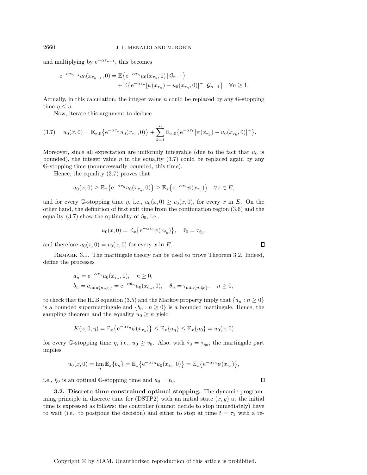and multiplying by  $e^{-\alpha \tau_{n-1}}$ , this becomes

$$
e^{-\alpha \tau_{n-1}} u_0(x_{\tau_{n-1}}, 0) = \mathbb{E}\left\{e^{-\alpha \tau_n} u_0(x_{\tau_n}, 0) | \mathcal{G}_{n-1}\right\} + \mathbb{E}\left\{e^{-\alpha \tau_n} [\psi(x_{\tau_n}) - u_0(x_{\tau_n}, 0)]^+ | \mathcal{G}_{n-1}\right\} \quad \forall n \ge 1.
$$

Actually, in this calculation, the integer value  $n$  could be replaced by any  $\mathbb{G}\text{-stopping}$ time  $\eta \leq n$ .

<span id="page-11-0"></span>Now, iterate this argument to deduce

$$
(3.7) \t u_0(x,0) = \mathbb{E}_{x,0}\big\{e^{-\alpha \tau_n}u_0(x_{\tau_n},0)\big\} + \sum_{k=1}^n \mathbb{E}_{x,0}\big\{e^{-\alpha \tau_k}[\psi(x_{\tau_k})-u_0(x_{\tau_k},0)]^+\big\}.
$$

Moreover, since all expectation are uniformly integrable (due to the fact that  $u_0$  is bounded), the integer value n in the equality  $(3.7)$  could be replaced again by any G-stopping time (nonnecessarily bounded, this time).

Hence, the equality [\(3.7\)](#page-11-0) proves that

$$
u_0(x,0) \geq \mathbb{E}_x \big\{ e^{-\alpha \tau_\eta} u_0(x_{\tau_\eta},0) \big\} \geq \mathbb{E}_x \big\{ e^{-\alpha \tau_\eta} \psi(x_{\tau_\eta}) \big\} \quad \forall x \in E,
$$

and for every G-stopping time  $\eta$ , i.e.,  $u_0(x, 0) \ge v_0(x, 0)$ , for every x in E. On the other hand, the definition of first exit time from the continuation region [\(3.6\)](#page-10-1) and the equality [\(3.7\)](#page-11-0) show the optimality of  $\hat{\eta}_0$ , i.e.,

$$
u_0(x, 0) = \mathbb{E}_x \{ e^{-\alpha \hat{\tau}_0} \psi(x_{\hat{\tau}_0}) \}, \quad \hat{\tau}_0 = \tau_{\hat{\eta}_0},
$$

and therefore  $u_0(x, 0) = v_0(x, 0)$  for every x in E.

REMARK 3.1. The martingale theory can be used to prove Theorem [3.2.](#page-10-2) Indeed, define the processes

$$
a_n = e^{-\alpha \tau_n} u_0(x_{\tau_n}, 0), \quad n \ge 0,
$$
  
\n
$$
b_n = a_{\min\{n, \hat{\eta}_0\}} = e^{-\alpha \theta_n} u_0(x_{\theta_n}, 0), \quad \theta_n = \tau_{\min\{n, \hat{\eta}_0\}}, \quad n \ge 0,
$$

to check that the HJB equation [\(3.5\)](#page-10-0) and the Markov property imply that  $\{a_n : n \geq 0\}$ is a bounded supermartingale and  $\{b_n : n \geq 0\}$  is a bounded martingale. Hence, the sampling theorem and the equality  $u_0 \geq \psi$  yield

$$
K(x,0,\eta) = \mathbb{E}_x \left\{ e^{-\alpha \tau_{\eta}} \psi(x_{\tau_{\eta}}) \right\} \le \mathbb{E}_x \{ a_{\eta} \} \le \mathbb{E}_x \{ a_0 \} = u_0(x,0)
$$

for every G-stopping time  $\eta$ , i.e.,  $u_0 \ge v_0$ . Also, with  $\hat{\tau}_0 = \tau_{\hat{\eta}_0}$ , the martingale part implies

$$
u_0(x,0) = \lim_n \mathbb{E}_x\{b_n\} = \mathbb{E}_x\{e^{-\alpha \hat{\tau}_0}u_0(x_{\hat{\tau}_0},0)\} = \mathbb{E}_x\{e^{-\alpha \hat{\tau}_0}\psi(x_{\hat{\tau}_0})\},\,
$$

i.e.,  $\hat{\eta}_0$  is an optimal G-stopping time and  $u_0 = v_0$ .

**3.2. Discrete time constrained optimal stopping.** The dynamic programming principle in discrete time for (DSTP2) with an initial state  $(x, y)$  at the initial time is expressed as follows: the controller (cannot decide to stop immediately) have to wait (i.e., to postpone the decision) and either to stop at time  $t = \tau_1$  with a re-

 $\Box$ 

 $\Box$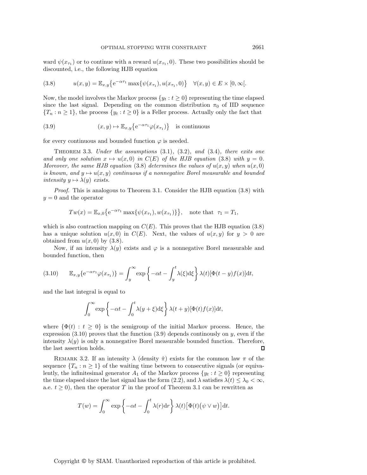ward  $\psi(x_{\tau_1})$  or to continue with a reward  $u(x_{\tau_1}, 0)$ . These two possibilities should be discounted, i.e., the following HJB equation

<span id="page-12-0"></span>(3.8) 
$$
u(x,y) = \mathbb{E}_{x,y}\left\{e^{-\alpha \tau_1} \max\{\psi(x_{\tau_1}), u(x_{\tau_1},0)\} \quad \forall (x,y) \in E \times [0,\infty].\right\}
$$

Now, the model involves the Markov process  $\{y_t : t \geq 0\}$  representing the time elapsed since the last signal. Depending on the common distribution  $\pi_0$  of IID sequence  ${T_n : n \ge 1}$ , the process  ${y_t : t \ge 0}$  is a Feller process. Actually only the fact that

<span id="page-12-2"></span>(3.9) 
$$
(x, y) \mapsto \mathbb{E}_{x,y} \{ e^{-\alpha \tau_1} \varphi(x_{\tau_1}) \}
$$
 is continuous

<span id="page-12-3"></span>for every continuous and bounded function  $\varphi$  is needed.

Theorem 3.3. *Under the assumptions* [\(3.1\)](#page-9-1)*,* [\(3.2\)](#page-9-2)*, and* [\(3.4\)](#page-9-3)*, there exits one and only one solution*  $x \mapsto u(x, 0)$  *in*  $C(E)$  *of the HJB equation* [\(3.8\)](#page-12-0) *with*  $y = 0$ *. Moreover, the same HJB equation* [\(3.8\)](#page-12-0) *determines the values of*  $u(x, y)$  *when*  $u(x, 0)$ *is known, and*  $y \mapsto u(x, y)$  *continuous if a nonnegative Borel measurable and bounded intensity*  $y \mapsto \lambda(y)$  *exists.* 

*Proof.* This is analogous to Theorem [3.1.](#page-10-3) Consider the HJB equation [\(3.8\)](#page-12-0) with  $y = 0$  and the operator

$$
Tw(x) = \mathbb{E}_{x,0} \{ e^{-\alpha \tau_1} \max{\{\psi(x_{\tau_1}), w(x_{\tau_1})\}} \},
$$
 note that  $\tau_1 = T_1$ ,

which is also contraction mapping on  $C(E)$ . This proves that the HJB equation [\(3.8\)](#page-12-0) has a unique solution  $u(x, 0)$  in  $C(E)$ . Next, the values of  $u(x, y)$  for  $y > 0$  are obtained from  $u(x, 0)$  by  $(3.8)$ .

Now, if an intensity  $\lambda(y)$  exists and  $\varphi$  is a nonnegative Borel measurable and bounded function, then

<span id="page-12-1"></span>(3.10) 
$$
\mathbb{E}_{x,y}\{e^{-\alpha \tau_1}\varphi(x_{\tau_1})\} = \int_y^{\infty} \exp\left\{-\alpha t - \int_y^t \lambda(\xi) d\xi\right\} \lambda(t) [\Phi(t-y)f(x)] dt,
$$

and the last integral is equal to

$$
\int_0^\infty \exp\left\{-\alpha t - \int_0^t \lambda(y+\xi) d\xi\right\} \lambda(t+y)[\Phi(t)f(x)]dt,
$$

where  $\{\Phi(t): t \geq 0\}$  is the semigroup of the initial Markov process. Hence, the expression  $(3.10)$  proves that the function  $(3.9)$  depends continuously on y, even if the intensity  $\lambda(y)$  is only a nonnegative Borel measurable bounded function. Therefore, the last assertion holds the last assertion holds.

REMARK 3.2. If an intensity  $\lambda$  (density  $\dot{\pi}$ ) exists for the common law  $\pi$  of the sequence  $\{T_n : n \geq 1\}$  of the waiting time between to consecutive signals (or equivalently, the infinitesimal generator  $A_1$  of the Markov process  $\{y_t : t \geq 0\}$  representing the time elapsed since the last signal has the form [\(2.2\)](#page-3-4), and  $\lambda$  satisfies  $\lambda(t) \leq \lambda_0 < \infty$ , a.e.  $t \geq 0$ , then the operator T in the proof of Theorem [3.1](#page-10-3) can be rewritten as

$$
T(w) = \int_0^\infty \exp\left\{-\alpha t - \int_0^t \lambda(r) dr\right\} \lambda(t) \left[\Phi(t) \left(\psi \vee w\right)\right] dt.
$$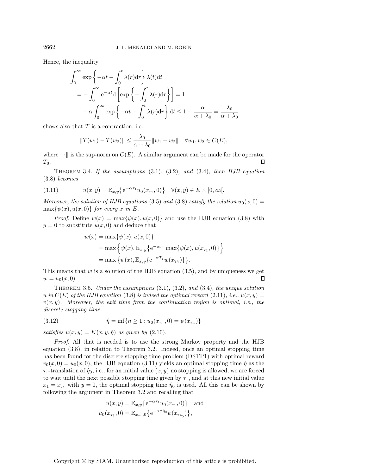Hence, the inequality

$$
\int_0^\infty \exp\left\{-\alpha t - \int_0^t \lambda(r) dr\right\} \lambda(t) dt
$$
  
=  $-\int_0^\infty e^{-\alpha t} d\left[\exp\left\{-\int_0^t \lambda(r) dr\right\}\right] = 1$   
 $-\alpha \int_0^\infty \exp\left\{-\alpha t - \int_0^t \lambda(r) dr\right\} dt \le 1 - \frac{\alpha}{\alpha + \lambda_0} = \frac{\lambda_0}{\alpha + \lambda_0}$ 

shows also that  $T$  is a contraction, i.e.,

$$
||T(w_1) - T(w_2)|| \le \frac{\lambda_0}{\alpha + \lambda_0} ||w_1 - w_2|| \quad \forall w_1, w_2 \in C(E),
$$

where  $\|\cdot\|$  is the sup-norm on  $C(E)$ . A similar argument can be made for the operator  $T_0$  $T_0$ .

Theorem 3.4. *If the assumptions* [\(3.1\)](#page-9-1)*,* [\(3.2\)](#page-9-2)*, and* [\(3.4\)](#page-9-3)*, then HJB equation* [\(3.8\)](#page-12-0) *becomes*

<span id="page-13-0"></span>(3.11) 
$$
u(x,y) = \mathbb{E}_{x,y}\{e^{-\alpha \tau_1}u_0(x_{\tau_1},0)\} \quad \forall (x,y) \in E \times [0,\infty[.
$$

*Moreover, the solution of HJB equations* [\(3.5\)](#page-10-0) *and* [\(3.8\)](#page-12-0) *satisfy the relation*  $u_0(x, 0) =$  $\max\{\psi(x), u(x, 0)\}\$ for every x in E.

*Proof.* Define  $w(x) = \max{\psi(x), u(x, 0)}$  and use the HJB equation [\(3.8\)](#page-12-0) with  $y = 0$  to substitute  $u(x, 0)$  and deduce that

$$
w(x) = \max\{\psi(x), u(x, 0)\}
$$
  
= max  $\left\{\psi(x), \mathbb{E}_{x,y}\left\{e^{-\alpha \tau_1} \max\{\psi(x), u(x_{\tau_1}, 0)\}\right\}\right\}$   
= max  $\left\{\psi(x), \mathbb{E}_{x,y}\left\{e^{-\alpha T_1} w(x_{T_1})\right\}\right\}.$ 

This means that w is a solution of the HJB equation [\(3.5\)](#page-10-0), and by uniqueness we get  $w = u_0(x, 0)$ .  $w = u_0(x, 0).$ 

<span id="page-13-2"></span>Theorem 3.5. *Under the assumptions* [\(3.1\)](#page-9-1)*,* [\(3.2\)](#page-9-2)*, and* [\(3.4\)](#page-9-3)*, the unique solution* u in  $C(E)$  of the HJB equation [\(3.8\)](#page-12-0) is indeed the optimal reward [\(2.11\)](#page-4-1), i.e.,  $u(x, y) =$  $v(x, y)$ *. Moreover, the exit time from the continuation region is optimal, i.e., the discrete stopping time*

<span id="page-13-1"></span>(3.12) 
$$
\hat{\eta} = \inf \{ n \ge 1 : u_0(x_{\tau_n}, 0) = \psi(x_{\tau_n}) \}
$$

*satisfies*  $u(x, y) = K(x, y, \hat{\eta})$  *as given by* [\(2.10\)](#page-4-4).

*Proof.* All that is needed is to use the strong Markov property and the HJB equation [\(3.8\)](#page-12-0), in relation to Theorem [3.2.](#page-10-2) Indeed, once an optimal stopping time has been found for the discrete stopping time problem (DSTP1) with optimal reward  $v_0(x, 0) = u_0(x, 0)$ , the HJB equation [\(3.11\)](#page-13-0) yields an optimal stopping time  $\hat{\eta}$  as the  $\tau_1$ -translation of  $\hat{\eta}_0$ , i.e., for an initial value  $(x, y)$  no stopping is allowed, we are forced to wait until the next possible stopping time given by  $\tau_1$ , and at this new initial value  $x_1 = x_{\tau_1}$  with  $y = 0$ , the optimal stopping time  $\hat{\eta}_0$  is used. All this can be shown by following the argument in Theorem [3.2](#page-10-2) and recalling that

$$
u(x, y) = \mathbb{E}_{x, y} \{ e^{-\alpha \tau_1} u_0(x_{\tau_1}, 0) \} \text{ and}
$$
  

$$
u_0(x_{\tau_1}, 0) = \mathbb{E}_{x_{\tau_1}, 0} \{ e^{-\alpha \tau \hat{\eta}_0} \psi(x_{\tau_{\hat{\eta}_0}}) \},
$$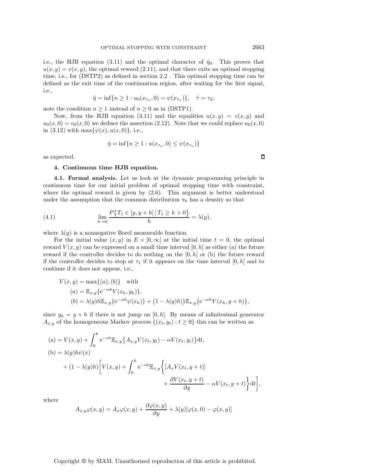i.e., the HJB equation [\(3.11\)](#page-13-0) and the optimal character of  $\hat{\eta}_0$ . This proves that  $u(x, y) = v(x, y)$ , the optimal reward [\(2.11\)](#page-4-1), and that there exits an optimal stopping time, i.e., for (DSTP2) as defined in section [2.2](#page-4-5) . This optimal stopping time can be defined as the exit time of the continuation region, after waiting for the first signal, i.e.,

$$
\hat{\eta} = \inf\{n \ge 1 : u_0(x_{\tau_n}, 0) = \psi(x_{\tau_n})\}, \quad \hat{\tau} = \tau_{\hat{\eta}};
$$

note the condition  $n \geq 1$  instead of  $n \geq 0$  as in (DSTP1).

Now, from the HJB equation [\(3.11\)](#page-13-0) and the equalities  $u(x, y) = v(x, y)$  and  $u_0(x, 0) = v_0(x, 0)$  we deduce the assertion [\(2.12\)](#page-4-2). Note that we could replace  $u_0(x, 0)$ in [\(3.12\)](#page-13-1) with  $\max{\psi(x), u(x, 0)}$ , i.e.,

$$
\hat{\eta} = \inf\{n \ge 1 : u(x_{\tau_n}, 0) \le \psi(x_{\tau_n})\}
$$

<span id="page-14-0"></span>as expected.

#### **4. Continuous time HJB equation.**

**4.1. Formal analysis.** Let us look at the dynamic programming principle in continuous time for our initial problem of optimal stopping time with constraint, where the optimal reward is given by [\(2.6\)](#page-3-5). This argument is better understood under the assumption that the common distribution  $\pi_0$  has a density so that

(4.1) 
$$
\lim_{h \to 0} \frac{P\{T_1 \in [y, y + h[|T_1 \ge h > 0\}]}{h} = \lambda(y),
$$

where  $\lambda(y)$  is a nonnegative Borel measurable function.

For the initial value  $(x, y)$  in  $E \times [0, \infty)$  at the initial time  $t = 0$ , the optimal reward  $V(x, y)$  can be expressed on a small time interval [0, h] as either (a) the future reward if the controller decides to do nothing on the  $[0, h]$  or (b) the future reward if the controller decides to stop at  $\tau_1$  if it appears on the time interval [0, h] and to continue if it does not appear, i.e.,

$$
V(x,y) = \max\{(a), (b)\} \quad \text{with}
$$
  
\n
$$
(a) = \mathbb{E}_{x,y}\{e^{-\alpha h}V(x_h, y_h)\},
$$
  
\n
$$
(b) = \lambda(y)h\mathbb{E}_{x,y}\{e^{-\alpha h}\psi(x_h)\} + (1 - \lambda(y)h)\mathbb{E}_{x,y}\{e^{-\alpha h}V(x_h, y+h)\},
$$

since  $y_h = y + h$  if there is not jump on [0, h]. By means of infinitesimal generator  $A_{x,y}$  of the homogeneous Markov process  $\{(x_t, y_t) : t \geq 0\}$  this can be written as

(a) = 
$$
V(x, y)
$$
 +  $\int_0^h e^{-\alpha t} \mathbb{E}_{x,y} \{ A_{x,y} V(x_t, y_t) - \alpha V(x_t, y_t) \} dt$ ,  
\n(b) =  $\lambda(y) h \psi(x)$   
\n+  $(1 - \lambda(y)h) \Big[ V(x, y) + \int_0^h e^{-\alpha t} \mathbb{E}_{x,y} \Big\{ [A_x V(x_t, y + t)] + \frac{\partial V(x_t, y + t)}{\partial y} - \alpha V(x_t, y + t) \Big\} dt \Big]$ ,

where

$$
A_{x,y}\varphi(x,y) = A_x\varphi(x,y) + \frac{\partial\varphi(x,y)}{\partial y} + \lambda(y)[\varphi(x,0) - \varphi(x,y)]
$$

Copyright © by SIAM. Unauthorized reproduction of this article is prohibited.

 $\Box$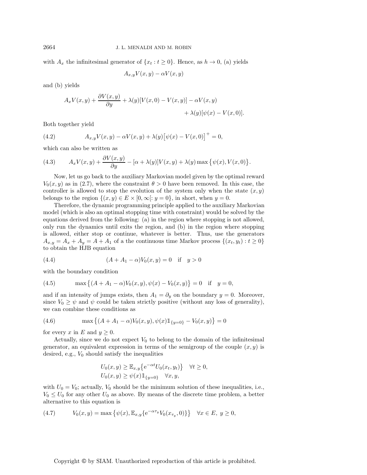with  $A_x$  the infinitesimal generator of  $\{x_t : t \geq 0\}$ . Hence, as  $h \to 0$ , (a) yields

$$
A_{x,y}V(x,y) - \alpha V(x,y)
$$

and (b) yields

$$
A_x V(x, y) + \frac{\partial V(x, y)}{\partial y} + \lambda(y)[V(x, 0) - V(x, y)] - \alpha V(x, y) + \lambda(y)[\psi(x) - V(x, 0)].
$$

Both together yield

<span id="page-15-3"></span>(4.2) 
$$
A_{x,y}V(x,y) - \alpha V(x,y) + \lambda(y)[\psi(x) - V(x,0)]^{+} = 0,
$$

which can also be written as

<span id="page-15-2"></span>(4.3) 
$$
A_x V(x, y) + \frac{\partial V(x, y)}{\partial y} - [\alpha + \lambda(y)] V(x, y) + \lambda(y) \max \{ \psi(x), V(x, 0) \}.
$$

Now, let us go back to the auxiliary Markovian model given by the optimal reward  $V_0(x, y)$  as in [\(2.7\)](#page-3-3), where the constraint  $\theta > 0$  have been removed. In this case, the controller is allowed to stop the evolution of the system only when the state  $(x, y)$ belongs to the region  $\{(x, y) \in E \times [0, \infty) : y = 0\}$ , in short, when  $y = 0$ .

Therefore, the dynamic programming principle applied to the auxiliary Markovian model (which is also an optimal stopping time with constraint) would be solved by the equations derived from the following: (a) in the region where stopping is not allowed, only run the dynamics until exits the region, and (b) in the region where stopping is allowed, either stop or continue, whatever is better. Thus, use the generators  $A_{x,y} = A_x + A_y = A + A_1$  of a the continuous time Markov process  $\{(x_t, y_t): t \geq 0\}$ to obtain the HJB equation

<span id="page-15-0"></span>(4.4) 
$$
(A + A_1 - \alpha)V_0(x, y) = 0 \text{ if } y > 0
$$

with the boundary condition

<span id="page-15-1"></span>(4.5) 
$$
\max \left\{ (A + A_1 - \alpha) V_0(x, y), \psi(x) - V_0(x, y) \right\} = 0 \quad \text{if} \quad y = 0,
$$

and if an intensity of jumps exists, then  $A_1 = \partial_y$  on the boundary  $y = 0$ . Moreover, since  $V_0 \geq \psi$  and  $\psi$  could be taken strictly positive (without any loss of generality), we can combine these conditions as

(4.6) 
$$
\max \left\{ (A + A_1 - \alpha) V_0(x, y), \psi(x) 1\!\!1_{\{y=0\}} - V_0(x, y) \right\} = 0
$$

for every x in E and  $y \geq 0$ .

Actually, since we do not expect  $V_0$  to belong to the domain of the infinitesimal generator, an equivalent expression in terms of the semigroup of the couple  $(x, y)$  is desired, e.g.,  $V_0$  should satisfy the inequalities

$$
U_0(x, y) \geq \mathbb{E}_{x,y}\left\{e^{-\alpha t}U_0(x_t, y_t)\right\} \quad \forall t \geq 0,
$$
  

$$
U_0(x, y) \geq \psi(x)\mathbb{1}_{\{y=0\}} \quad \forall x, y,
$$

with  $U_0 = V_0$ ; actually,  $V_0$  should be the minimum solution of these inequalities, i.e.,  $V_0 \leq U_0$  for any other  $U_0$  as above. By means of the discrete time problem, a better alternative to this equation is

(4.7) 
$$
V_0(x, y) = \max \{ \psi(x), \mathbb{E}_{x,y} \{ e^{-\alpha \tau_y} V_0(x_{\tau_y}, 0) \} \} \quad \forall x \in E, y \ge 0,
$$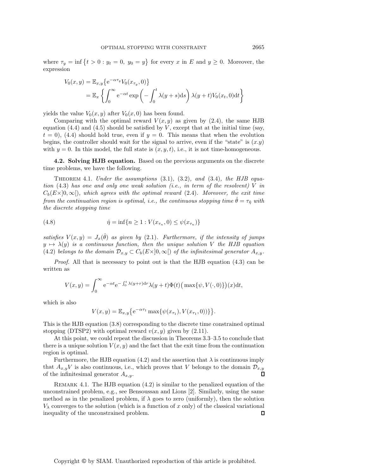where  $\tau_y = \inf \{ t > 0 : y_t = 0, y_0 = y \}$  for every x in E and  $y \ge 0$ . Moreover, the expression

$$
V_0(x,y) = \mathbb{E}_{x,y} \{ e^{-\alpha \tau_y} V_0(x_{\tau_y}, 0) \}
$$
  
= 
$$
\mathbb{E}_x \left\{ \int_0^\infty e^{-\alpha t} \exp \left( - \int_0^t \lambda(y+s) \, ds \right) \lambda(y+t) V_0(x_t, 0) \, dt \right\}
$$

yields the value  $V_0(x, y)$  after  $V_0(x, 0)$  has been found.

Comparing with the optimal reward  $V(x, y)$  as given by [\(2.4\)](#page-3-1), the same HJB equation  $(4.4)$  and  $(4.5)$  should be satisfied by V, except that at the initial time (say,  $t = 0$ , [\(4.4\)](#page-15-0) should hold true, even if  $y = 0$ . This means that when the evolution begins, the controller should wait for the signal to arrive, even if the "state" is  $(x,y)$ with  $y = 0$ . In this model, the full state is  $(x, y, t)$ , i.e., it is not time-homogeneous.

<span id="page-16-1"></span><span id="page-16-0"></span>**4.2. Solving HJB equation.** Based on the previous arguments on the discrete time problems, we have the following.

Theorem 4.1. *Under the assumptions* [\(3.1\)](#page-9-1)*,* [\(3.2\)](#page-9-2)*, and* [\(3.4\)](#page-9-3)*, the HJB equation* [\(4.3\)](#page-15-2) *has one and only one weak solution (i.e., in term of the resolvent)* V *in*  $C_b(E\times]0,\infty[)$ *, which agrees with the optimal reward* [\(2.4\)](#page-3-1)*. Moreover, the exit time from the continuation region is optimal, i.e., the continuous stopping time*  $\hat{\theta} = \tau_{\hat{\eta}}$  *with the discrete stopping time*

(4.8) 
$$
\hat{\eta} = \inf \{ n \ge 1 : V(x_{\tau_n}, 0) \le \psi(x_{\tau_n}) \}
$$

*satisfies*  $V(x, y) = J_x(\hat{\theta})$  *as given by* [\(2.1\)](#page-2-1)*. Furthermore, if the intensity of jumps*  $y \mapsto \lambda(y)$  *is a continuous function, then the unique solution* V *the HJB equation* [\(4.2\)](#page-15-3) *belongs to the domain*  $\mathcal{D}_{x,y} \subset C_b(E\times]0,\infty$  *of the infinitesimal generator*  $A_{x,y}$ *.* 

*Proof.* All that is necessary to point out is that the HJB equation [\(4.3\)](#page-15-2) can be written as

$$
V(x,y) = \int_0^\infty e^{-\alpha t} e^{-\int_0^t \lambda(y+r) dr} \lambda(y+t) \Phi(t) \Big( \max\{\psi, V(\cdot, 0)\}\Big)(x) dt,
$$

which is also

$$
V(x,y) = \mathbb{E}_{x,y}\big\{e^{-\alpha \tau_1} \max\{\psi(x_{\tau_1}), V(x_{\tau_1},0))\}\big\}.
$$

This is the HJB equation [\(3.8\)](#page-12-0) corresponding to the discrete time constrained optimal stopping (DTSP2) with optimal reward  $v(x, y)$  given by [\(2.11\)](#page-4-1).

At this point, we could repeat the discussion in Theorems [3.3](#page-12-3)[–3.5](#page-13-2) to conclude that there is a unique solution  $V(x, y)$  and the fact that the exit time from the continuation region is optimal.

Furthermore, the HJB equation [\(4.2\)](#page-15-3) and the assertion that  $\lambda$  is continuous imply that  $A_{x,y}V$  is also continuous, i.e., which proves that V belongs to the domain  $\mathcal{D}_{x,y}$  of the infinitesimal generator  $A_{x,y}$ . of the infinitesimal generator  $A_{x,y}$ .

REMARK 4.1. The HJB equation  $(4.2)$  is similar to the penalized equation of the unconstrained problem, e.g., see Bensoussan and Lions [\[2\]](#page-22-0). Similarly, using the same method as in the penalized problem, if  $\lambda$  goes to zero (uniformly), then the solution  $V_{\lambda}$  converges to the solution (which is a function of x only) of the classical variational inequality of the unconstrained problem. inequality of the unconstrained problem.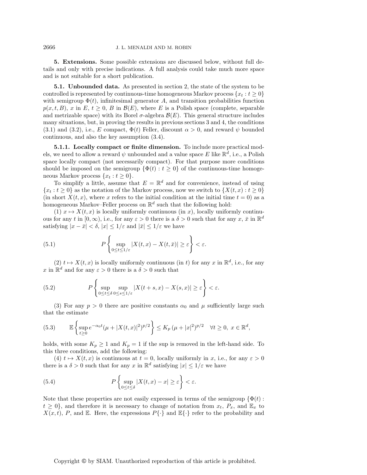<span id="page-17-0"></span>**5. Extensions.** Some possible extensions are discussed below, without full details and only with precise indications. A full analysis could take much more space and is not suitable for a short publication.

**5.1. Unbounded data.** As presented in section [2,](#page-2-0) the state of the system to be controlled is represented by continuous-time homogeneous Markov process  $\{x_t : t \geq 0\}$ with semigroup  $\Phi(t)$ , infinitesimal generator A, and transition probabilities function  $p(x, t, B)$ , x in E,  $t \geq 0$ , B in  $\mathcal{B}(E)$ , where E is a Polish space (complete, separable and metrizable space) with its Borel  $\sigma$ -algebra  $\mathcal{B}(E)$ . This general structure includes many situations, but, in proving the results in previous sections [3](#page-9-0) and [4,](#page-14-0) the conditions [\(3.1\)](#page-9-1) and [\(3.2\)](#page-9-2), i.e., E compact,  $\Phi(t)$  Feller, discount  $\alpha > 0$ , and reward  $\psi$  bounded continuous, and also the key assumption [\(3.4\)](#page-9-3).

**5.1.1. Locally compact or finite dimension.** To include more practical models, we need to allow a reward  $\psi$  unbounded and a value space E like  $\mathbb{R}^d$ , i.e., a Polish space locally compact (not necessarily compact). For that purpose more conditions should be imposed on the semigroup  $\{\Phi(t): t \geq 0\}$  of the continuous-time homogeneous Markov process  $\{x_t : t \geq 0\}.$ 

To simplify a little, assume that  $E = \mathbb{R}^d$  and for convenience, instead of using  ${x_t : t \ge 0}$  as the notation of the Markov process, now we switch to  ${X(t, x) : t \ge 0}$ (in short  $X(t, x)$ , where x refers to the initial condition at the initial time  $t = 0$ ) as a homogeneous Markov–Feller process on  $\mathbb{R}^d$  such that the following hold:

(1)  $x \mapsto X(t, x)$  is locally uniformly continuous (in x), locally uniformly continuous for any t in  $[0, \infty)$ , i.e., for any  $\varepsilon > 0$  there is a  $\delta > 0$  such that for any  $x, \bar{x}$  in  $\mathbb{R}^d$ satisfying  $|x - \bar{x}| < \delta$ ,  $|x| \leq 1/\varepsilon$  and  $|\bar{x}| \leq 1/\varepsilon$  we have

<span id="page-17-2"></span>(5.1) 
$$
P\left\{\sup_{0\leq t\leq 1/\varepsilon}|X(t,x)-X(t,\bar{x})|\geq \varepsilon\right\}<\varepsilon.
$$

(2)  $t \mapsto X(t, x)$  is locally uniformly continuous (in t) for any x in  $\mathbb{R}^d$ , i.e., for any x in  $\mathbb{R}^d$  and for any  $\varepsilon > 0$  there is a  $\delta > 0$  such that

<span id="page-17-3"></span>(5.2) 
$$
P\left\{\sup_{0\leq t\leq \delta}\sup_{0\leq s\leq 1/\varepsilon}|X(t+s,x)-X(s,x)|\geq \varepsilon\right\}<\varepsilon.
$$

(3) For any  $p > 0$  there are positive constants  $\alpha_0$  and  $\mu$  sufficiently large such that the estimate

<span id="page-17-1"></span>
$$
(5.3) \qquad \mathbb{E}\left\{\sup_{t\geq 0}e^{-\alpha_0 t}(\mu+|X(t,x)|^2)^{p/2}\right\} \leq K_p(\mu+|x|^2)^{p/2} \quad \forall t\geq 0, \ x\in\mathbb{R}^d,
$$

holds, with some  $K_p \geq 1$  and  $K_p = 1$  if the sup is removed in the left-hand side. To this three conditions, add the following:

(4)  $t \mapsto X(t, x)$  is continuous at  $t = 0$ , locally uniformly in x, i.e., for any  $\varepsilon > 0$ there is a  $\delta > 0$  such that for any x in  $\mathbb{R}^d$  satisfying  $|x| \leq 1/\varepsilon$  we have

<span id="page-17-4"></span>(5.4) 
$$
P\left\{\sup_{0\leq t\leq \delta}|X(t,x)-x|\geq \varepsilon\right\}<\varepsilon.
$$

Note that these properties are not easily expressed in terms of the semigroup  $\{\Phi(t):$  $t \geq 0$ , and therefore it is necessary to change of notation from  $x_t$ ,  $P_x$ , and  $\mathbb{E}_x$  to  $X(x, t)$ , P, and E. Here, the expressions  $P\{\cdot\}$  and  $\mathbb{E}\{\cdot\}$  refer to the probability and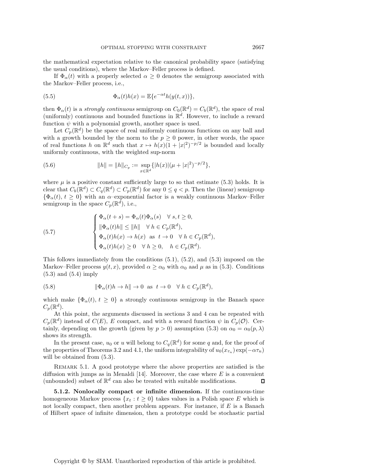the mathematical expectation relative to the canonical probability space (satisfying the usual conditions), where the Markov–Feller process is defined.

If  $\Phi_{\alpha}(t)$  with a properly selected  $\alpha \geq 0$  denotes the semigroup associated with the Markov–Feller process, i.e.,

(5.5) 
$$
\Phi_{\alpha}(t)h(x) = \mathbb{E}\{e^{-\alpha t}h(y(t,x))\},
$$

then  $\Phi_{\alpha}(t)$  is a *strongly continuous* semigroup on  $C_0(\mathbb{R}^d) = C_b(\mathbb{R}^d)$ , the space of real (uniformly) continuous and bounded functions in  $\mathbb{R}^d$ . However, to include a reward function  $\psi$  with a polynomial growth, another space is used.

Let  $C_p(\mathbb{R}^d)$  be the space of real uniformly continuous functions on any ball and with a growth bounded by the norm to the  $p \geq 0$  power, in other words, the space of real functions h on  $\mathbb{R}^d$  such that  $x \mapsto h(x)(1+|x|^2)^{-p/2}$  is bounded and locally<br>uniformly continuous with the weighted sup-norm uniformly continuous, with the weighted sup-norm

<span id="page-18-2"></span>(5.6) 
$$
||h|| = ||h||_{C_p} := \sup_{x \in \mathbb{R}^d} \{|h(x)|(\mu + |x|^2)^{-p/2}\},
$$

where  $\mu$  is a positive constant sufficiently large to so that estimate [\(5.3\)](#page-17-1) holds. It is clear that  $C_b(\mathbb{R}^d) \subset C_q(\mathbb{R}^d) \subset C_p(\mathbb{R}^d)$  for any  $0 \leq q < p$ . Then the (linear) semigroup  ${\Phi_{\alpha}(t), t \geq 0}$  with an  $\alpha$ -exponential factor is a weakly continuous Markov–Feller semigroup in the space  $C_p(\mathbb{R}^d)$ , i.e.,

<span id="page-18-0"></span>(5.7) 
$$
\begin{cases} \Phi_{\alpha}(t+s) = \Phi_{\alpha}(t)\Phi_{\alpha}(s) & \forall s, t \geq 0, \\ \|\Phi_{\alpha}(t)h\| \leq \|h\| & \forall h \in C_{p}(\mathbb{R}^{d}), \\ \Phi_{\alpha}(t)h(x) \to h(x) & \text{as } t \to 0 \quad \forall h \in C_{p}(\mathbb{R}^{d}), \\ \Phi_{\alpha}(t)h(x) \geq 0 & \forall h \geq 0, \quad h \in C_{p}(\mathbb{R}^{d}). \end{cases}
$$

This follows immediately from the conditions  $(5.1)$ ,  $(5.2)$ , and  $(5.3)$  imposed on the Markov–Feller process  $y(t, x)$ , provided  $\alpha \ge \alpha_0$  with  $\alpha_0$  aad  $\mu$  as in [\(5.3\)](#page-17-1). Conditions [\(5.3\)](#page-17-1) and [\(5.4\)](#page-17-4) imply

<span id="page-18-1"></span>(5.8) 
$$
\|\Phi_{\alpha}(t)h \to h\| \to 0 \text{ as } t \to 0 \quad \forall h \in C_p(\mathbb{R}^d),
$$

which make  $\{\Phi_{\alpha}(t), t \geq 0\}$  a strongly continuous semigroup in the Banach space  $C_p(\mathbb{R}^d)$ .

At this point, the arguments discussed in sections [3](#page-9-0) and [4](#page-14-0) can be repeated with  $C_p(\mathbb{R}^d)$  instead of  $C(E)$ , E compact, and with a reward function  $\psi$  in  $C_p(\mathcal{O})$ . Certainly, depending on the growth (given by  $p > 0$ ) assumption [\(5.3\)](#page-17-1) on  $\alpha_0 = \alpha_0(p, \lambda)$ shows its strength.

In the present case,  $u_0$  or u will belong to  $C_q(\mathbb{R}^d)$  for some q and, for the proof of the properties of Theorems [3.2](#page-10-2) and [4.1,](#page-16-1) the uniform integrability of  $u_0(x_{\tau_n}) \exp(-\alpha \tau_n)$ will be obtained from  $(5.3)$ .

Remark 5.1. A good prototype where the above properties are satisfied is the diffusion with jumps as in Menaldi [\[14\]](#page-22-7). Moreover, the case where E is a convenient (unbounded) subset of  $\mathbb{R}^d$  can also be treated with suitable modifications. (unbounded) subset of  $\mathbb{R}^d$  can also be treated with suitable modifications.

**5.1.2. Nonlocally compact or infinite dimension.** If the continuous-time homogeneous Markov process  $\{x_t : t \geq 0\}$  takes values in a Polish space E which is not locally compact, then another problem appears. For instance, if  $E$  is a Banach of Hilbert space of infinite dimension, then a prototype could be stochastic partial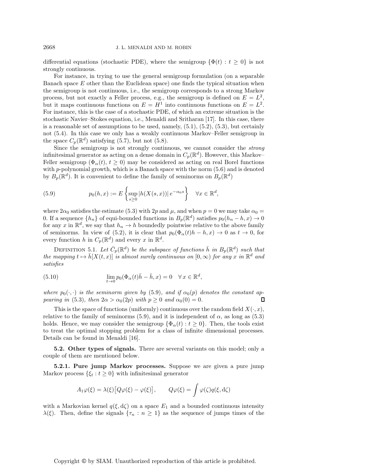differential equations (stochastic PDE), where the semigroup  $\{\Phi(t): t \geq 0\}$  is not strongly continuous.

For instance, in trying to use the general semigroup formulation (on a separable Banach space  $E$  other than the Euclidean space) one finds the typical situation when the semigroup is not continuous, i.e., the semigroup corresponds to a strong Markov process, but not exactly a Feller process, e.g., the semigroup is defined on  $E = L^2$ , but it maps continuous functions on  $E = H^1$  into continuous functions on  $E = L^2$ . For instance, this is the case of a stochastic PDE, of which an extreme situation is the stochastic Navier–Stokes equation, i.e., Menaldi and Sritharan [\[17\]](#page-22-8). In this case, there is a reasonable set of assumptions to be used, namely,  $(5.1)$ ,  $(5.2)$ ,  $(5.3)$ , but certainly not [\(5.4\)](#page-17-4). In this case we only has a weakly continuous Markov–Feller semigroup in the space  $C_p(\mathbb{R}^d)$  satisfying [\(5.7\)](#page-18-0), but not [\(5.8\)](#page-18-1).

Since the semigroup is not strongly continuous, we cannot consider the *strong* infinitesimal generator as acting on a dense domain in  $C_p(\mathbb{R}^d)$ . However, this Markov– Feller semigroup ( $\Phi_{\alpha}(t), t \geq 0$ ) may be considered as acting on real Borel functions with  $p$ -polynomial growth, which is a Banach space with the norm  $(5.6)$  and is denoted by  $B_p(\mathbb{R}^d)$ . It is convenient to define the family of seminorms on  $B_p(\mathbb{R}^d)$ 

<span id="page-19-0"></span>(5.9) 
$$
p_0(h,x) := E\left\{\sup_{s\geq 0} |h(X(s,x))| e^{-\alpha_0 s}\right\} \quad \forall x \in \mathbb{R}^d,
$$

where  $2\alpha_0$  satisfies the estimate [\(5.3\)](#page-17-1) with  $2p$  and  $\mu$ , and when  $p = 0$  we may take  $\alpha_0 =$ 0. If a sequence  $\{h_n\}$  of equi-bounded functions in  $B_p(\mathbb{R}^d)$  satisfies  $p_0(h_n - h, x) \to 0$ for any x in  $\mathbb{R}^d$ , we say that  $h_n \to h$  boundedly pointwise relative to the above family of seminorms. In view of [\(5.2\)](#page-17-3), it is clear that  $p_0(\Phi_\alpha(t)h - h, x) \to 0$  as  $t \to 0$ , for every function h in  $C_p(\mathbb{R}^d)$  and every x in  $\mathbb{R}^d$ .

DEFINITION 5.1. Let  $\bar{C}_p(\mathbb{R}^d)$  be the subspace of functions  $\bar{h}$  in  $B_p(\mathbb{R}^d)$  such that *the mapping*  $t \mapsto \bar{h}[X(t,x)]$  *is almost surely continuous on*  $[0,\infty)$  *for any* x *in*  $\mathbb{R}^d$  *and satisfies*

(5.10) 
$$
\lim_{t \to 0} p_0(\Phi_\alpha(t)\bar{h} - \bar{h}, x) = 0 \quad \forall x \in \mathbb{R}^d,
$$

*where*  $p_0(\cdot, \cdot)$  *is the seminorm given by* [\(5.9\)](#page-19-0)*, and if*  $\alpha_0(p)$  *denotes the constant ap-*<br>*pearing in* (5.3) *then*  $2\alpha > \alpha_0(2n)$  *with*  $n > 0$  *and*  $\alpha_0(0) = 0$ *pearing in* [\(5.3\)](#page-17-1)*, then*  $2\alpha > \alpha_0(2p)$  *with*  $p \ge 0$  *and*  $\alpha_0(0) = 0$ *.* 

This is the space of functions (uniformly) continuous over the random field  $X(\cdot, x)$ , relative to the family of seminorms [\(5.9\)](#page-19-0), and it is independent of  $\alpha$ , as long as [\(5.3\)](#page-17-1) holds. Hence, we may consider the semigroup  $\{\Phi_{\alpha}(t): t \geq 0\}$ . Then, the tools exist to treat the optimal stopping problem for a class of infinite dimensional processes. Details can be found in Menaldi [\[16\]](#page-22-9).

**5.2. Other types of signals.** There are several variants on this model; only a couple of them are mentioned below.

**5.2.1. Pure jump Markov processes.** Suppose we are given a pure jump Markov process  $\{\xi_t : t \geq 0\}$  with infinitesimal generator

$$
A_1\varphi(\xi) = \lambda(\xi) [Q\varphi(\xi) - \varphi(\xi)], \qquad Q\varphi(\xi) = \int \varphi(\zeta) q(\xi, d\zeta)
$$

with a Markovian kernel  $q(\xi, d\zeta)$  on a space  $E_1$  and a bounded continuous intensity  $\lambda(\xi)$ . Then, define the signals  $\{\tau_n : n \geq 1\}$  as the sequence of jumps times of the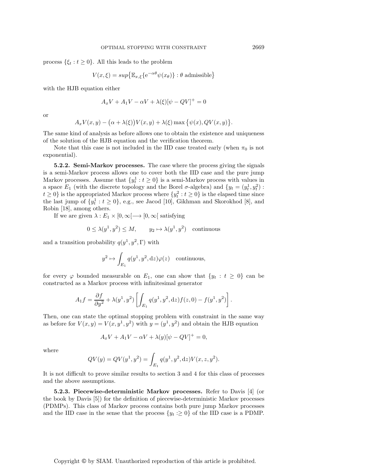process  $\{\xi_t : t \geq 0\}$ . All this leads to the problem

$$
V(x,\xi) = \sup \{ \mathbb{E}_{x,\xi} \{ e^{-\alpha \theta} \psi(x_{\theta}) \} : \theta \text{ admissible} \}
$$

with the HJB equation either

$$
A_xV + A_1V - \alpha V + \lambda(\xi)[\psi - QV]^+ = 0
$$

or

$$
A_x V(x, y) - (\alpha + \lambda(\xi)) V(x, y) + \lambda(\xi) \max \{ \psi(x), QV(x, y) \}.
$$

The same kind of analysis as before allows one to obtain the existence and uniqueness of the solution of the HJB equation and the verification theorem.

Note that this case is not included in the IID case treated early (when  $\pi_0$  is not exponential).

**5.2.2. Semi-Markov processes.** The case where the process giving the signals is a semi-Markov process allows one to cover both the IID case and the pure jump Markov processes. Assume that  $\{y_t^1 : t \geq 0\}$  is a semi-Markov process with values in a space  $E_1$  (with the discrete topology and the Borel  $\sigma$ -algebra) and  $\{y_t = (y_t^1, y_t^2) : t > 0\}$  is the approximated Markov process where  $\{y_t^2 : t > 0\}$  is the elapsed time since  $t \geq 0$ } is the appropriated Markov process where  $\{y_t^2 : t \geq 0\}$  is the elapsed time since<br>the last jump of  $\{y_t^1 : t \geq 0\}$  e.g. see Jacod [10] Gikbman and Skorokhod [8] and the last jump of  $\{y_t^1 : t \geq 0\}$ , e.g., see Jacod [\[10\]](#page-22-10), Gikhman and Skorokhod [\[8\]](#page-22-11), and Robin [18], among others Robin [\[18\]](#page-22-12), among others.

If we are given  $\lambda : E_1 \times [0, \infty[ \longrightarrow [0, \infty[$  satisfying

$$
0 \le \lambda(y^1, y^2) \le M, \qquad y_2 \mapsto \lambda(y^1, y^2) \quad \text{continuous}
$$

and a transition probability  $q(y^1,y^2,\Gamma)$  with

$$
y^2 \mapsto \int_{E_1} q(y^1, y^2, dz) \varphi(z)
$$
 continuous,

for every  $\varphi$  bounded measurable on  $E_1$ , one can show that  $\{y_t : t \geq 0\}$  can be constructed as a Markov process with infinitesimal generator

$$
A_1 f = \frac{\partial f}{\partial y^2} + \lambda (y^1, y^2) \left[ \int_{E_1} q(y^1, y^2, dz) f(z, 0) - f(y^1, y^2) \right].
$$

Then, one can state the optimal stopping problem with constraint in the same way as before for  $V(x, y) = V(x, y^1, y^2)$  with  $y = (y^1, y^2)$  and obtain the HJB equation

$$
A_x V + A_1 V - \alpha V + \lambda(y) [\psi - QV]^+ = 0,
$$

where

$$
QV(y) = QV(y^1, y^2) = \int_{E_1} q(y^1, y^2, dz) V(x, z, y^2).
$$

It is not difficult to prove similar results to section [3](#page-9-0) and [4](#page-14-0) for this class of processes and the above assumptions.

<span id="page-20-0"></span>**5.2.3. Piecewise-deterministic Markov processes.** Refer to Davis [\[4\]](#page-22-13) (or the book by Davis [\[5\]](#page-22-14)) for the definition of piecewise-deterministic Markov processes (PDMPs). This class of Markov process contains both pure jump Markov processes and the IID case in the sense that the process  $\{y_t : \geq 0\}$  of the IID case is a PDMP.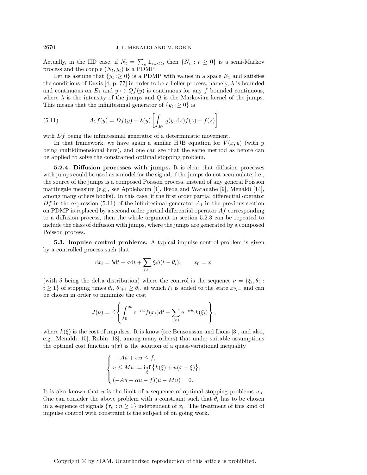Actually, in the IID case, if  $N_t = \sum_n \mathbb{1}_{\tau_n < t}$ , then  $\{N_t : t \geq 0\}$  is a semi-Markov process and the couple  $(N_t, y_t)$  is a PDMP.

Let us assume that  $\{y_t : \geq 0\}$  is a PDMP with values in a space  $E_1$  and satisfies the conditions of Davis [\[4,](#page-22-13) p. 77] in order to be a Feller process, namely,  $\lambda$  is bounded and continuous on  $E_1$  and  $y \mapsto Qf(y)$  is continuous for any f bounded continuous, where  $\lambda$  is the intensity of the jumps and  $Q$  is the Markovian kernel of the jumps. This means that the infinitesimal generator of  $\{y_t : \geq 0\}$  is

<span id="page-21-0"></span>(5.11) 
$$
A_1 f(y) = Df(y) + \lambda(y) \left[ \int_{E_1} q(y, dz) f(z) - f(z) \right]
$$

with Df being the infinitesimal generator of a deterministic movement.

In that framework, we have again a similar HJB equation for  $V(x, y)$  (with y being multidimensional here), and one can see that the same method as before can be applied to solve the constrained optimal stopping problem.

**5.2.4. Diffusion processes with jumps.** It is clear that diffusion processes with jumps could be used as a model for the signal, if the jumps do not accumulate, i.e., the source of the jumps is a composed Poisson process, instead of any general Poisson martingale measure (e.g., see Applebaum [\[1\]](#page-22-15), Ikeda and Watanabe [\[9\]](#page-22-16), Menaldi [\[14\]](#page-22-7), among many others books). In this case, if the first order partial differential operator  $Df$  in the expression [\(5.11\)](#page-21-0) of the infinitesimal generator  $A_1$  in the previous section on PDMP is replaced by a second order partial differential operator  $Af$  corresponding to a diffusion process, then the whole argument in section [5.2.3](#page-20-0) can be repeated to include the class of diffusion with jumps, where the jumps are generated by a composed Poisson process.

**5.3. Impulse control problems.** A typical impulse control problem is given by a controlled process such that

$$
dx_t = bdt + \sigma dt + \sum_{i \ge 1} \xi_i \delta(t - \theta_i), \qquad x_0 = x,
$$

(with  $\delta$  being the delta distribution) where the control is the sequence  $\nu = \{\xi_i, \theta_i :$  $i \geq 1$ } of stopping times  $\theta_i$ ,  $\theta_{i+1} \geq \theta_i$ , at which  $\xi_i$  is added to the state  $x_{\theta_i-}$  and can be chosen in order to minimize the cost

$$
J(\nu) = \mathbb{E}\left\{\int_0^\infty e^{-\alpha t} f(x_t) dt + \sum_{i \ge 1} e^{-\alpha \theta_i} k(\xi_i)\right\},\,
$$

where  $k(\xi)$  is the cost of impulses. It is know (see Bensoussan and Lions [\[3\]](#page-22-17), and also, e.g., Menaldi [\[15\]](#page-22-18), Robin [\[18\]](#page-22-12), among many others) that under suitable assumptions the optimal cost function  $u(x)$  is the solution of a quasi-variational inequality

$$
\begin{cases}\n- Au + \alpha u \leq f, \\
u \leq Mu := \inf_{\xi} \{k(\xi) + u(x + \xi)\}, \\
(-Au + \alpha u - f)(u - Mu) = 0.\n\end{cases}
$$

It is also known that u is the limit of a sequence of optimal stopping problems  $u_n$ . One can consider the above problem with a constraint such that  $\theta_i$  has to be chosen in a sequence of signals  $\{\tau_n : n \geq 1\}$  independent of  $x_t$ . The treatment of this kind of impulse control with constraint is the subject of on going work.